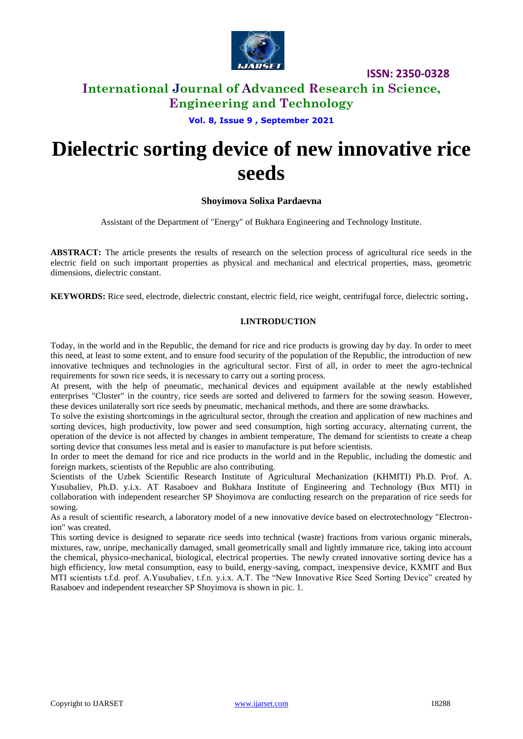

**ISSN: 2350-0328**

### **International Journal of Advanced Research in Science, Engineering and Technology**

**Vol. 8, Issue 9 , September 2021**

# **Dielectric sorting device of new innovative rice seeds**

### **Shoyimova Solixa Pardaevna**

Assistant of the Department of "Energy" of Bukhara Engineering and Technology Institute.

**ABSTRACT:** The article presents the results of research on the selection process of agricultural rice seeds in the electric field on such important properties as physical and mechanical and electrical properties, mass, geometric dimensions, dielectric constant.

**KEYWORDS:** Rice seed, electrode, dielectric constant, electric field, rice weight, centrifugal force, dielectric sorting.

### **I.INTRODUCTION**

Today, in the world and in the Republic, the demand for rice and rice products is growing day by day. In order to meet this need, at least to some extent, and to ensure food security of the population of the Republic, the introduction of new innovative techniques and technologies in the agricultural sector. First of all, in order to meet the agro-technical requirements for sown rice seeds, it is necessary to carry out a sorting process.

At present, with the help of pneumatic, mechanical devices and equipment available at the newly established enterprises "Cluster" in the country, rice seeds are sorted and delivered to farmers for the sowing season. However, these devices unilaterally sort rice seeds by pneumatic, mechanical methods, and there are some drawbacks.

To solve the existing shortcomings in the agricultural sector, through the creation and application of new machines and sorting devices, high productivity, low power and seed consumption, high sorting accuracy, alternating current, the operation of the device is not affected by changes in ambient temperature, The demand for scientists to create a cheap sorting device that consumes less metal and is easier to manufacture is put before scientists.

In order to meet the demand for rice and rice products in the world and in the Republic, including the domestic and foreign markets, scientists of the Republic are also contributing.

Scientists of the Uzbek Scientific Research Institute of Agricultural Mechanization (KHMITI) Ph.D. Prof. A. Yusubaliev, Ph.D. y.i.x. AT Rasaboev and Bukhara Institute of Engineering and Technology (Bux MTI) in collaboration with independent researcher SP Shoyimova are conducting research on the preparation of rice seeds for sowing.

As a result of scientific research, a laboratory model of a new innovative device based on electrotechnology "Electronion" was created.

This sorting device is designed to separate rice seeds into technical (waste) fractions from various organic minerals, mixtures, raw, unripe, mechanically damaged, small geometrically small and lightly immature rice, taking into account the chemical, physico-mechanical, biological, electrical properties. The newly created innovative sorting device has a high efficiency, low metal consumption, easy to build, energy-saving, compact, inexpensive device, KXMIT and Bux MTI scientists t.f.d. prof. A.Yusubaliev, t.f.n. y.i.x. A.T. The "New Innovative Rice Seed Sorting Device" created by Rasaboev and independent researcher SP Shoyimova is shown in pic. 1.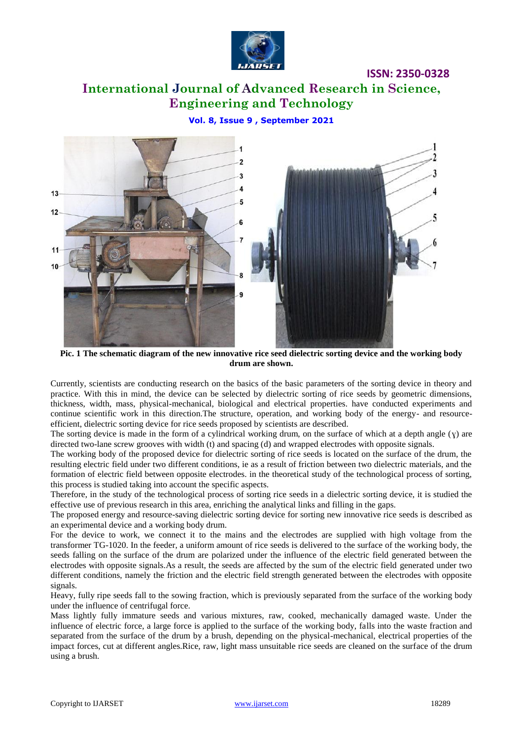

**ISSN: 2350-0328**

# **International Journal of Advanced Research in Science, Engineering and Technology**

### **Vol. 8, Issue 9 , September 2021**



**Pic. 1 The schematic diagram of the new innovative rice seed dielectric sorting device and the working body drum are shown.**

Currently, scientists are conducting research on the basics of the basic parameters of the sorting device in theory and practice. With this in mind, the device can be selected by dielectric sorting of rice seeds by geometric dimensions, thickness, width, mass, physical-mechanical, biological and electrical properties. have conducted experiments and continue scientific work in this direction.The structure, operation, and working body of the energy- and resourceefficient, dielectric sorting device for rice seeds proposed by scientists are described.

The sorting device is made in the form of a cylindrical working drum, on the surface of which at a depth angle  $(y)$  are directed two-lane screw grooves with width (t) and spacing (d) and wrapped electrodes with opposite signals.

The working body of the proposed device for dielectric sorting of rice seeds is located on the surface of the drum, the resulting electric field under two different conditions, ie as a result of friction between two dielectric materials, and the formation of electric field between opposite electrodes. in the theoretical study of the technological process of sorting, this process is studied taking into account the specific aspects.

Therefore, in the study of the technological process of sorting rice seeds in a dielectric sorting device, it is studied the effective use of previous research in this area, enriching the analytical links and filling in the gaps.

The proposed energy and resource-saving dielectric sorting device for sorting new innovative rice seeds is described as an experimental device and a working body drum.

For the device to work, we connect it to the mains and the electrodes are supplied with high voltage from the transformer TG-1020. In the feeder, a uniform amount of rice seeds is delivered to the surface of the working body, the seeds falling on the surface of the drum are polarized under the influence of the electric field generated between the electrodes with opposite signals.As a result, the seeds are affected by the sum of the electric field generated under two different conditions, namely the friction and the electric field strength generated between the electrodes with opposite signals.

Heavy, fully ripe seeds fall to the sowing fraction, which is previously separated from the surface of the working body under the influence of centrifugal force.

Mass lightly fully immature seeds and various mixtures, raw, cooked, mechanically damaged waste. Under the influence of electric force, a large force is applied to the surface of the working body, falls into the waste fraction and separated from the surface of the drum by a brush, depending on the physical-mechanical, electrical properties of the impact forces, cut at different angles.Rice, raw, light mass unsuitable rice seeds are cleaned on the surface of the drum using a brush.